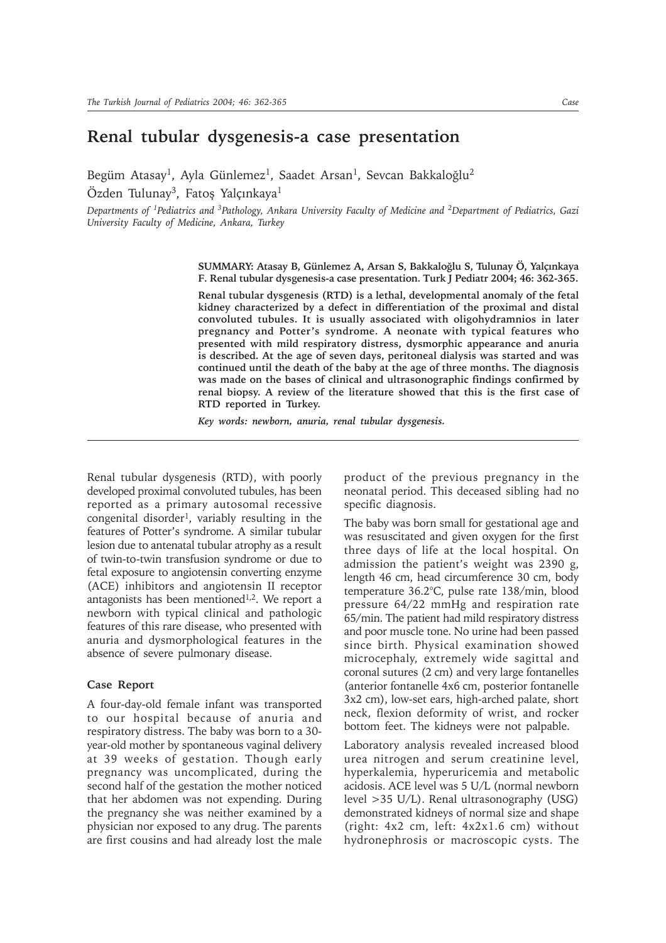## **Renal tubular dysgenesis-a case presentation**

Begüm Atasay<sup>1</sup>, Ayla Günlemez<sup>1</sup>, Saadet Arsan<sup>1</sup>, Sevcan Bakkaloğlu<sup>2</sup> Özden Tulunay<sup>3</sup>, Fatoş Yalçınkaya<sup>1</sup>

*Departments of 1Pediatrics and 3Pathology, Ankara University Faculty of Medicine and 2Department of Pediatrics, Gazi University Faculty of Medicine, Ankara, Turkey*

> SUMMARY: Atasay B, Günlemez A, Arsan S, Bakkaloğlu S, Tulunay Ö, Yalçınkaya **F. Renal tubular dysgenesis-a case presentation. Turk J Pediatr 2004; 46: 362-365.**

> **Renal tubular dysgenesis (RTD) is a lethal, developmental anomaly of the fetal kidney characterized by a defect in differentiation of the proximal and distal convoluted tubules. It is usually associated with oligohydramnios in later pregnancy and Potterís syndrome. A neonate with typical features who presented with mild respiratory distress, dysmorphic appearance and anuria is described. At the age of seven days, peritoneal dialysis was started and was continued until the death of the baby at the age of three months. The diagnosis was made on the bases of clinical and ultrasonographic findings confirmed by renal biopsy. A review of the literature showed that this is the first case of RTD reported in Turkey.**

*Key words: newborn, anuria, renal tubular dysgenesis.*

Renal tubular dysgenesis (RTD), with poorly developed proximal convoluted tubules, has been reported as a primary autosomal recessive congenital disorder<sup>1</sup>, variably resulting in the features of Potter's syndrome. A similar tubular lesion due to antenatal tubular atrophy as a result of twin-to-twin transfusion syndrome or due to fetal exposure to angiotensin converting enzyme (ACE) inhibitors and angiotensin II receptor antagonists has been mentioned<sup>1,2</sup>. We report a newborn with typical clinical and pathologic features of this rare disease, who presented with anuria and dysmorphological features in the absence of severe pulmonary disease.

## **Case Report**

A four-day-old female infant was transported to our hospital because of anuria and respiratory distress. The baby was born to a 30 year-old mother by spontaneous vaginal delivery at 39 weeks of gestation. Though early pregnancy was uncomplicated, during the second half of the gestation the mother noticed that her abdomen was not expending. During the pregnancy she was neither examined by a physician nor exposed to any drug. The parents are first cousins and had already lost the male

product of the previous pregnancy in the neonatal period. This deceased sibling had no specific diagnosis.

The baby was born small for gestational age and was resuscitated and given oxygen for the first three days of life at the local hospital. On admission the patient's weight was 2390 g, length 46 cm, head circumference 30 cm, body temperature 36.2°C, pulse rate 138/min, blood pressure 64/22 mmHg and respiration rate 65/min. The patient had mild respiratory distress and poor muscle tone. No urine had been passed since birth. Physical examination showed microcephaly, extremely wide sagittal and coronal sutures (2 cm) and very large fontanelles (anterior fontanelle 4x6 cm, posterior fontanelle 3x2 cm), low-set ears, high-arched palate, short neck, flexion deformity of wrist, and rocker bottom feet. The kidneys were not palpable.

Laboratory analysis revealed increased blood urea nitrogen and serum creatinine level, hyperkalemia, hyperuricemia and metabolic acidosis. ACE level was 5 U/L (normal newborn level >35 U/L). Renal ultrasonography (USG) demonstrated kidneys of normal size and shape (right: 4x2 cm, left: 4x2x1.6 cm) without hydronephrosis or macroscopic cysts. The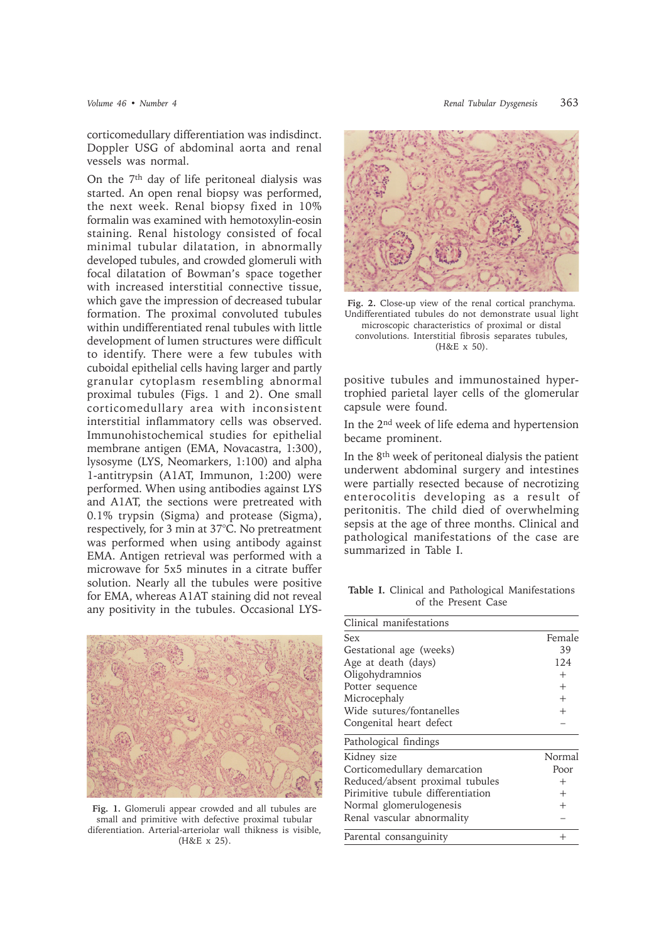corticomedullary differentiation was indisdinct. Doppler USG of abdominal aorta and renal vessels was normal.

On the 7th day of life peritoneal dialysis was started. An open renal biopsy was performed, the next week. Renal biopsy fixed in 10% formalin was examined with hemotoxylin-eosin staining. Renal histology consisted of focal minimal tubular dilatation, in abnormally developed tubules, and crowded glomeruli with focal dilatation of Bowman's space together with increased interstitial connective tissue, which gave the impression of decreased tubular formation. The proximal convoluted tubules within undifferentiated renal tubules with little development of lumen structures were difficult to identify. There were a few tubules with cuboidal epithelial cells having larger and partly granular cytoplasm resembling abnormal proximal tubules (Figs. 1 and 2). One small corticomedullary area with inconsistent interstitial inflammatory cells was observed. Immunohistochemical studies for epithelial membrane antigen (EMA, Novacastra, 1:300), lysosyme (LYS, Neomarkers, 1:100) and alpha 1-antitrypsin (A1AT, Immunon, 1:200) were performed. When using antibodies against LYS and A1AT, the sections were pretreated with 0.1% trypsin (Sigma) and protease (Sigma), respectively, for 3 min at 37°C. No pretreatment was performed when using antibody against EMA. Antigen retrieval was performed with a microwave for 5x5 minutes in a citrate buffer solution. Nearly all the tubules were positive for EMA, whereas A1AT staining did not reveal any positivity in the tubules. Occasional LYS-



**Fig. 1.** Glomeruli appear crowded and all tubules are small and primitive with defective proximal tubular diferentiation. Arterial-arteriolar wall thikness is visible, (H&E x 25).



**Fig. 2.** Close-up view of the renal cortical pranchyma. Undifferentiated tubules do not demonstrate usual light microscopic characteristics of proximal or distal convolutions. Interstitial fibrosis separates tubules, (H&E x 50).

positive tubules and immunostained hypertrophied parietal layer cells of the glomerular capsule were found.

In the 2nd week of life edema and hypertension became prominent.

In the 8th week of peritoneal dialysis the patient underwent abdominal surgery and intestines were partially resected because of necrotizing enterocolitis developing as a result of peritonitis. The child died of overwhelming sepsis at the age of three months. Clinical and pathological manifestations of the case are summarized in Table I.

**Table I.** Clinical and Pathological Manifestations of the Present Case

| Clinical manifestations           |         |
|-----------------------------------|---------|
| <b>Sex</b>                        | Female  |
| Gestational age (weeks)           | 39      |
| Age at death (days)               | 124     |
| Oligohydramnios                   | $^{+}$  |
| Potter sequence                   | $^{+}$  |
| Microcephaly                      | $^{+}$  |
| Wide sutures/fontanelles          | $^{+}$  |
| Congenital heart defect           |         |
| Pathological findings             |         |
| Kidney size                       | Normal  |
| Corticomedullary demarcation      | Poor    |
| Reduced/absent proximal tubules   | $^{+}$  |
| Pirimitive tubule differentiation | $^{+}$  |
| Normal glomerulogenesis           | $^{+}$  |
| Renal vascular abnormality        |         |
| Parental consanguinity            | $\,+\,$ |
|                                   |         |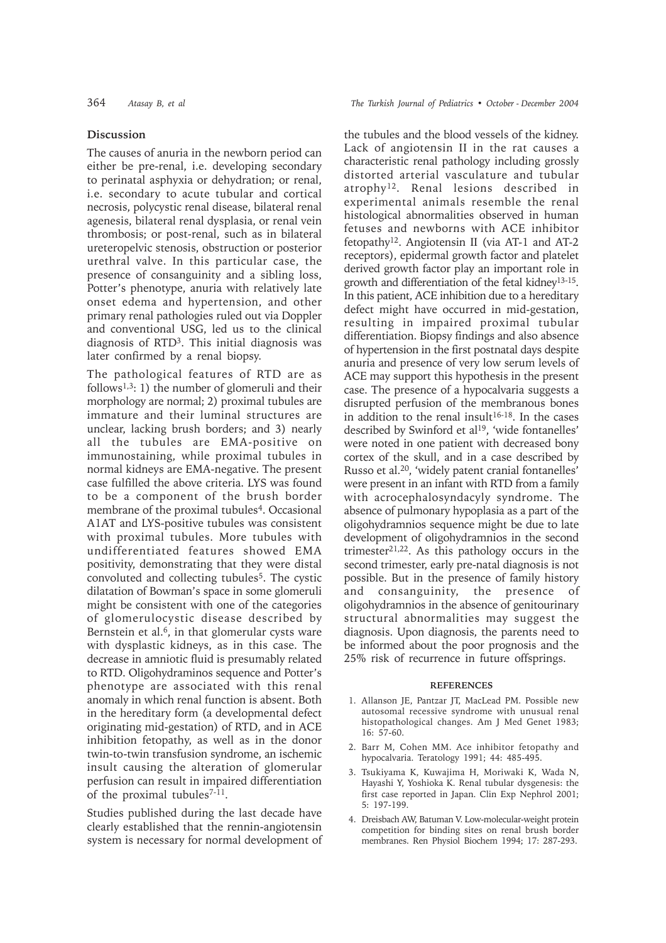## **Discussion**

The causes of anuria in the newborn period can either be pre-renal, i.e. developing secondary to perinatal asphyxia or dehydration; or renal, i.e. secondary to acute tubular and cortical necrosis, polycystic renal disease, bilateral renal agenesis, bilateral renal dysplasia, or renal vein thrombosis; or post-renal, such as in bilateral ureteropelvic stenosis, obstruction or posterior urethral valve. In this particular case, the presence of consanguinity and a sibling loss, Potter's phenotype, anuria with relatively late onset edema and hypertension, and other primary renal pathologies ruled out via Doppler and conventional USG, led us to the clinical diagnosis of RTD3. This initial diagnosis was later confirmed by a renal biopsy.

The pathological features of RTD are as follows1,3: 1) the number of glomeruli and their morphology are normal; 2) proximal tubules are immature and their luminal structures are unclear, lacking brush borders; and 3) nearly all the tubules are EMA-positive on immunostaining, while proximal tubules in normal kidneys are EMA-negative. The present case fulfilled the above criteria. LYS was found to be a component of the brush border membrane of the proximal tubules<sup>4</sup>. Occasional A1AT and LYS-positive tubules was consistent with proximal tubules. More tubules with undifferentiated features showed EMA positivity, demonstrating that they were distal convoluted and collecting tubules<sup>5</sup>. The cystic dilatation of Bowman's space in some glomeruli might be consistent with one of the categories of glomerulocystic disease described by Bernstein et al.6, in that glomerular cysts ware with dysplastic kidneys, as in this case. The decrease in amniotic fluid is presumably related to RTD. Oligohydraminos sequence and Potter's phenotype are associated with this renal anomaly in which renal function is absent. Both in the hereditary form (a developmental defect originating mid-gestation) of RTD, and in ACE inhibition fetopathy, as well as in the donor twin-to-twin transfusion syndrome, an ischemic insult causing the alteration of glomerular perfusion can result in impaired differentiation of the proximal tubules<sup>7-11</sup>.

Studies published during the last decade have clearly established that the rennin-angiotensin system is necessary for normal development of

364 *Atasay B, et al The Turkish Journal of Pediatrics ï October - December 2004*

the tubules and the blood vessels of the kidney. Lack of angiotensin II in the rat causes a characteristic renal pathology including grossly distorted arterial vasculature and tubular atrophy12. Renal lesions described in experimental animals resemble the renal histological abnormalities observed in human fetuses and newborns with ACE inhibitor fetopathy12. Angiotensin II (via AT-1 and AT-2 receptors), epidermal growth factor and platelet derived growth factor play an important role in growth and differentiation of the fetal kidney13-15. In this patient, ACE inhibition due to a hereditary defect might have occurred in mid-gestation, resulting in impaired proximal tubular differentiation. Biopsy findings and also absence of hypertension in the first postnatal days despite anuria and presence of very low serum levels of ACE may support this hypothesis in the present case. The presence of a hypocalvaria suggests a disrupted perfusion of the membranous bones in addition to the renal insult<sup>16-18</sup>. In the cases described by Swinford et al<sup>19</sup>, 'wide fontanelles' were noted in one patient with decreased bony cortex of the skull, and in a case described by Russo et al.<sup>20</sup>, 'widely patent cranial fontanelles' were present in an infant with RTD from a family with acrocephalosyndacyly syndrome. The absence of pulmonary hypoplasia as a part of the oligohydramnios sequence might be due to late development of oligohydramnios in the second trimester21,22. As this pathology occurs in the second trimester, early pre-natal diagnosis is not possible. But in the presence of family history and consanguinity, the presence of oligohydramnios in the absence of genitourinary structural abnormalities may suggest the diagnosis. Upon diagnosis, the parents need to be informed about the poor prognosis and the 25% risk of recurrence in future offsprings.

## **REFERENCES**

- 1. Allanson JE, Pantzar JT, MacLead PM. Possible new autosomal recessive syndrome with unusual renal histopathological changes. Am J Med Genet 1983; 16: 57-60.
- 2. Barr M, Cohen MM. Ace inhibitor fetopathy and hypocalvaria. Teratology 1991; 44: 485-495.
- 3. Tsukiyama K, Kuwajima H, Moriwaki K, Wada N, Hayashi Y, Yoshioka K. Renal tubular dysgenesis: the first case reported in Japan. Clin Exp Nephrol 2001; 5: 197-199.
- 4. Dreisbach AW, Batuman V. Low-molecular-weight protein competition for binding sites on renal brush border membranes. Ren Physiol Biochem 1994; 17: 287-293.